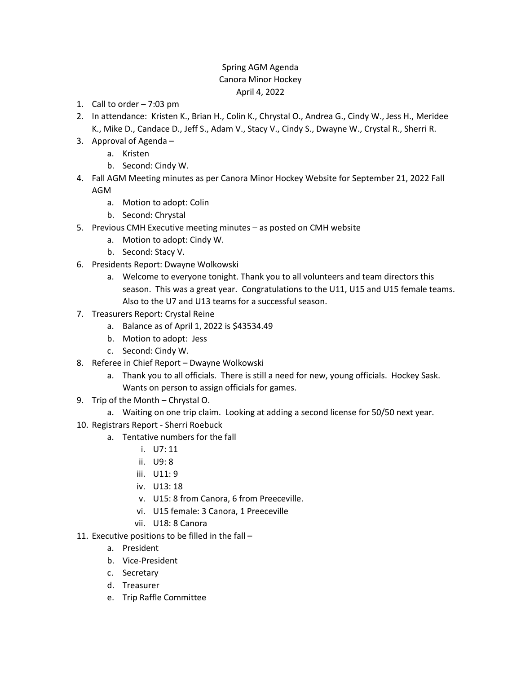## Spring AGM Agenda Canora Minor Hockey April 4, 2022

- 1. Call to order  $-7:03$  pm
- 2. In attendance: Kristen K., Brian H., Colin K., Chrystal O., Andrea G., Cindy W., Jess H., Meridee K., Mike D., Candace D., Jeff S., Adam V., Stacy V., Cindy S., Dwayne W., Crystal R., Sherri R.
- 3. Approval of Agenda
	- a. Kristen
	- b. Second: Cindy W.
- 4. Fall AGM Meeting minutes as per Canora Minor Hockey Website for September 21, 2022 Fall AGM
	- a. Motion to adopt: Colin
	- b. Second: Chrystal
- 5. Previous CMH Executive meeting minutes as posted on CMH website
	- a. Motion to adopt: Cindy W.
	- b. Second: Stacy V.
- 6. Presidents Report: Dwayne Wolkowski
	- a. Welcome to everyone tonight. Thank you to all volunteers and team directors this season. This was a great year. Congratulations to the U11, U15 and U15 female teams. Also to the U7 and U13 teams for a successful season.
- 7. Treasurers Report: Crystal Reine
	- a. Balance as of April 1, 2022 is \$43534.49
	- b. Motion to adopt: Jess
	- c. Second: Cindy W.
- 8. Referee in Chief Report Dwayne Wolkowski
	- a. Thank you to all officials. There is still a need for new, young officials. Hockey Sask. Wants on person to assign officials for games.
- 9. Trip of the Month Chrystal O.
	- a. Waiting on one trip claim. Looking at adding a second license for 50/50 next year.
- 10. Registrars Report Sherri Roebuck
	- a. Tentative numbers for the fall
		- i. U7: 11
		- ii. U9: 8
		- iii. U11: 9
		- iv. U13: 18
		- v. U15: 8 from Canora, 6 from Preeceville.
		- vi. U15 female: 3 Canora, 1 Preeceville
		- vii. U18: 8 Canora
- 11. Executive positions to be filled in the fall
	- a. President
	- b. Vice-President
	- c. Secretary
	- d. Treasurer
	- e. Trip Raffle Committee